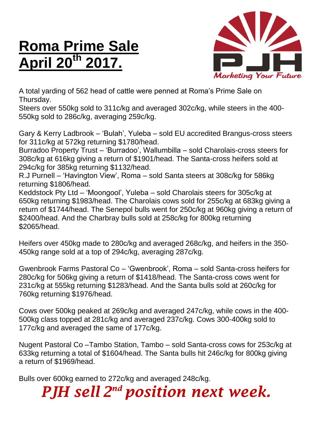## **Roma Prime Sale April 20th 2017.**



A total yarding of 562 head of cattle were penned at Roma's Prime Sale on Thursday.

Steers over 550kg sold to 311c/kg and averaged 302c/kg, while steers in the 400- 550kg sold to 286c/kg, averaging 259c/kg.

Gary & Kerry Ladbrook – 'Bulah', Yuleba – sold EU accredited Brangus-cross steers for 311c/kg at 572kg returning \$1780/head.

Burradoo Property Trust – 'Burradoo', Wallumbilla – sold Charolais-cross steers for 308c/kg at 616kg giving a return of \$1901/head. The Santa-cross heifers sold at 294c/kg for 385kg returning \$1132/head.

R.J Purnell – 'Havington View', Roma – sold Santa steers at 308c/kg for 586kg returning \$1806/head.

Keddstock Pty Ltd – 'Moongool', Yuleba – sold Charolais steers for 305c/kg at 650kg returning \$1983/head. The Charolais cows sold for 255c/kg at 683kg giving a return of \$1744/head. The Senepol bulls went for 250c/kg at 960kg giving a return of \$2400/head. And the Charbray bulls sold at 258c/kg for 800kg returning \$2065/head.

Heifers over 450kg made to 280c/kg and averaged 268c/kg, and heifers in the 350- 450kg range sold at a top of 294c/kg, averaging 287c/kg.

Gwenbrook Farms Pastoral Co – 'Gwenbrook', Roma – sold Santa-cross heifers for 280c/kg for 506kg giving a return of \$1418/head. The Santa-cross cows went for 231c/kg at 555kg returning \$1283/head. And the Santa bulls sold at 260c/kg for 760kg returning \$1976/head.

Cows over 500kg peaked at 269c/kg and averaged 247c/kg, while cows in the 400- 500kg class topped at 281c/kg and averaged 237c/kg. Cows 300-400kg sold to 177c/kg and averaged the same of 177c/kg.

Nugent Pastoral Co –Tambo Station, Tambo – sold Santa-cross cows for 253c/kg at 633kg returning a total of \$1604/head. The Santa bulls hit 246c/kg for 800kg giving a return of \$1969/head.

Bulls over 600kg earned to 272c/kg and averaged 248c/kg.

*PJH sell 2 nd position next week.*